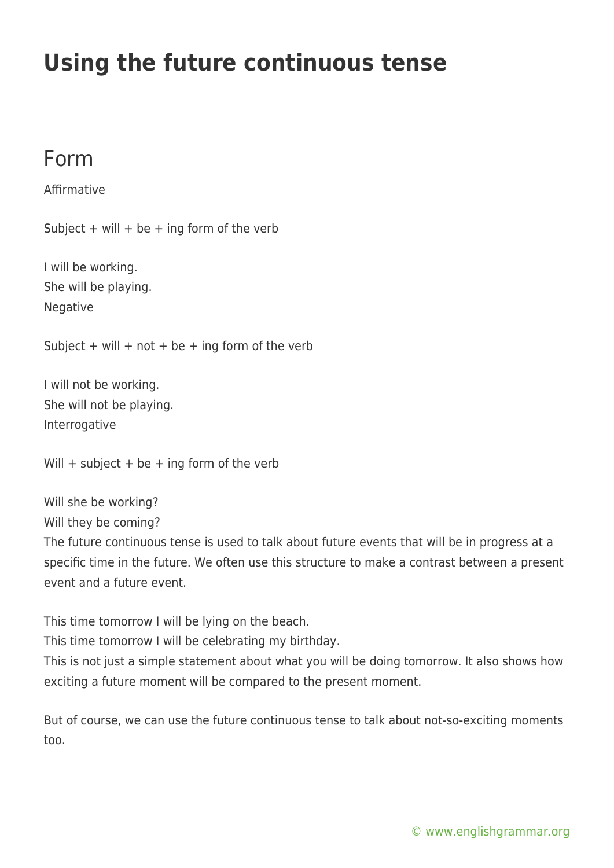## **Using the future continuous tense**

## Form

Affirmative

Subject + will + be + ing form of the verb

I will be working. She will be playing. Negative

Subject + will + not + be + ing form of the verb

I will not be working. She will not be playing. Interrogative

Will  $+$  subject  $+$  be  $+$  ing form of the verb

Will she be working?

Will they be coming?

The future continuous tense is used to talk about future events that will be in progress at a specific time in the future. We often use this structure to make a contrast between a present event and a future event.

This time tomorrow I will be lying on the beach.

This time tomorrow I will be celebrating my birthday.

This is not just a simple statement about what you will be doing tomorrow. It also shows how exciting a future moment will be compared to the present moment.

But of course, we can use the future continuous tense to talk about not-so-exciting moments too.